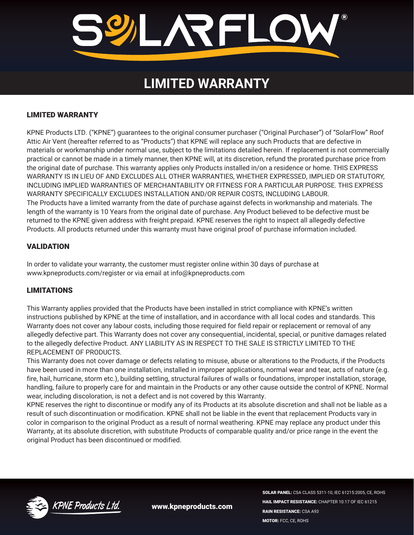

# **LIMITED WARRANTY**

## LIMITED WARRANTY

KPNE Products LTD. ("KPNE") guarantees to the original consumer purchaser ("Original Purchaser") of "SolarFlow" Roof Attic Air Vent (hereafter referred to as "Products") that KPNE will replace any such Products that are defective in materials or workmanship under normal use, subject to the limitations detailed herein. If replacement is not commercially practical or cannot be made in a timely manner, then KPNE will, at its discretion, refund the prorated purchase price from the original date of purchase. This warranty applies only Products installed in/on a residence or home. THIS EXPRESS WARRANTY IS IN LIEU OF AND EXCLUDES ALL OTHER WARRANTIES, WHETHER EXPRESSED, IMPLIED OR STATUTORY, INCLUDING IMPLIED WARRANTIES OF MERCHANTABILITY OR FITNESS FOR A PARTICULAR PURPOSE. THIS EXPRESS WARRANTY SPECIFICALLY EXCLUDES INSTALLATION AND/OR REPAIR COSTS, INCLUDING LABOUR. The Products have a limited warranty from the date of purchase against defects in workmanship and materials. The length of the warranty is 10 Years from the original date of purchase. Any Product believed to be defective must be returned to the KPNE given address with freight prepaid. KPNE reserves the right to inspect all allegedly defective Products. All products returned under this warranty must have original proof of purchase information included.

# VALIDATION

In order to validate your warranty, the customer must register online within 30 days of purchase at www.kpneproducts.com/register or via email at info@kpneproducts.com

#### LIMITATIONS

This Warranty applies provided that the Products have been installed in strict compliance with KPNE's written instructions published by KPNE at the time of installation, and in accordance with all local codes and standards. This Warranty does not cover any labour costs, including those required for field repair or replacement or removal of any allegedly defective part. This Warranty does not cover any consequential, incidental, special, or punitive damages related to the allegedly defective Product. ANY LIABILITY AS IN RESPECT TO THE SALE IS STRICTLY LIMITED TO THE REPLACEMENT OF PRODUCTS.

This Warranty does not cover damage or defects relating to misuse, abuse or alterations to the Products, if the Products have been used in more than one installation, installed in improper applications, normal wear and tear, acts of nature (e.g. fire, hail, hurricane, storm etc.), building settling, structural failures of walls or foundations, improper installation, storage, handling, failure to properly care for and maintain in the Products or any other cause outside the control of KPNE. Normal wear, including discoloration, is not a defect and is not covered by this Warranty.

KPNE reserves the right to discontinue or modify any of its Products at its absolute discretion and shall not be liable as a result of such discontinuation or modification. KPNE shall not be liable in the event that replacement Products vary in color in comparison to the original Product as a result of normal weathering. KPNE may replace any product under this Warranty, at its absolute discretion, with substitute Products of comparable quality and/or price range in the event the original Product has been discontinued or modified.



www.kpneproducts.com

SOLAR PANEL: CSA CLASS 5311-10, IEC 61215:2005, CE, ROHS HAIL IMPACT RESISTANCE: CHAPTER 10.17 OF IEC 61215 RAIN RESISTANCE: CSA A93 MOTOR: FCC, CE, ROHS